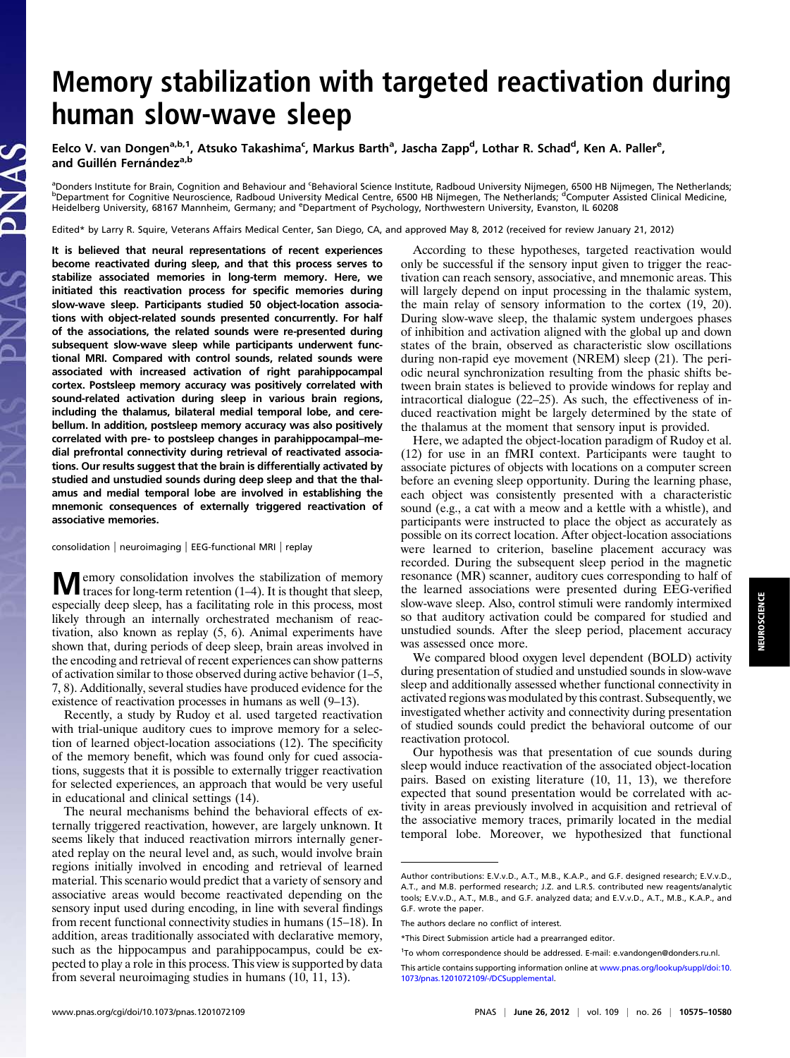## Memory stabilization with targeted reactivation during human slow-wave sleep

Eelco V. van Dongen<sup>a,b,1</sup>, Atsuko Takashima<sup>c</sup>, Markus Barth<sup>a</sup>, Jascha Zapp<sup>d</sup>, Lothar R. Schad<sup>d</sup>, Ken A. Paller<sup>e</sup>, and Guillén Fernández<sup>a,b</sup>

<sup>a</sup>Donders Institute for Brain, Cognition and Behaviour and <sup>c</sup>Behavioral Science Institute, Radboud University Nijmegen, 6500 HB Nijmegen, The Netherlands;<br>PDopartment for Cognitive Neuroccionce, Badboud University Medica Department for Cognitive Neuroscience, Radboud University Medical Centre, 6500 HB Nijmegen, The Netherlands; <sup>d</sup>Computer Assisted Clinical Medicine, Heidelberg University, 68167 Mannheim, Germany; and <sup>e</sup>Department of Psychology, Northwestern University, Evanston, IL 60208

Edited\* by Larry R. Squire, Veterans Affairs Medical Center, San Diego, CA, and approved May 8, 2012 (received for review January 21, 2012)

It is believed that neural representations of recent experiences become reactivated during sleep, and that this process serves to stabilize associated memories in long-term memory. Here, we initiated this reactivation process for specific memories during slow-wave sleep. Participants studied 50 object-location associations with object-related sounds presented concurrently. For half of the associations, the related sounds were re-presented during subsequent slow-wave sleep while participants underwent functional MRI. Compared with control sounds, related sounds were associated with increased activation of right parahippocampal cortex. Postsleep memory accuracy was positively correlated with sound-related activation during sleep in various brain regions, including the thalamus, bilateral medial temporal lobe, and cerebellum. In addition, postsleep memory accuracy was also positively correlated with pre- to postsleep changes in parahippocampal–medial prefrontal connectivity during retrieval of reactivated associations. Our results suggest that the brain is differentially activated by studied and unstudied sounds during deep sleep and that the thalamus and medial temporal lobe are involved in establishing the mnemonic consequences of externally triggered reactivation of associative memories.

consolidation | neuroimaging | EEG-functional MRI | replay

**M**emory consolidation involves the stabilization of memory traces for long-term retention (1–4). It is thought that sleep, especially deep sleep, has a facilitating role in this process, most likely through an internally orchestrated mechanism of reactivation, also known as replay (5, 6). Animal experiments have shown that, during periods of deep sleep, brain areas involved in the encoding and retrieval of recent experiences can show patterns of activation similar to those observed during active behavior (1–5, 7, 8). Additionally, several studies have produced evidence for the existence of reactivation processes in humans as well (9–13).

Recently, a study by Rudoy et al. used targeted reactivation with trial-unique auditory cues to improve memory for a selection of learned object-location associations (12). The specificity of the memory benefit, which was found only for cued associations, suggests that it is possible to externally trigger reactivation for selected experiences, an approach that would be very useful in educational and clinical settings (14).

The neural mechanisms behind the behavioral effects of externally triggered reactivation, however, are largely unknown. It seems likely that induced reactivation mirrors internally generated replay on the neural level and, as such, would involve brain regions initially involved in encoding and retrieval of learned material. This scenario would predict that a variety of sensory and associative areas would become reactivated depending on the sensory input used during encoding, in line with several findings from recent functional connectivity studies in humans (15–18). In addition, areas traditionally associated with declarative memory, such as the hippocampus and parahippocampus, could be expected to play a role in this process. This view is supported by data from several neuroimaging studies in humans (10, 11, 13).

According to these hypotheses, targeted reactivation would only be successful if the sensory input given to trigger the reactivation can reach sensory, associative, and mnemonic areas. This will largely depend on input processing in the thalamic system, the main relay of sensory information to the cortex (19, 20). During slow-wave sleep, the thalamic system undergoes phases of inhibition and activation aligned with the global up and down states of the brain, observed as characteristic slow oscillations during non-rapid eye movement (NREM) sleep (21). The periodic neural synchronization resulting from the phasic shifts between brain states is believed to provide windows for replay and intracortical dialogue (22–25). As such, the effectiveness of induced reactivation might be largely determined by the state of the thalamus at the moment that sensory input is provided.

Here, we adapted the object-location paradigm of Rudoy et al. (12) for use in an fMRI context. Participants were taught to associate pictures of objects with locations on a computer screen before an evening sleep opportunity. During the learning phase, each object was consistently presented with a characteristic sound (e.g., a cat with a meow and a kettle with a whistle), and participants were instructed to place the object as accurately as possible on its correct location. After object-location associations were learned to criterion, baseline placement accuracy was recorded. During the subsequent sleep period in the magnetic resonance (MR) scanner, auditory cues corresponding to half of the learned associations were presented during EEG-verified slow-wave sleep. Also, control stimuli were randomly intermixed so that auditory activation could be compared for studied and unstudied sounds. After the sleep period, placement accuracy was assessed once more.

We compared blood oxygen level dependent (BOLD) activity during presentation of studied and unstudied sounds in slow-wave sleep and additionally assessed whether functional connectivity in activated regions was modulated by this contrast. Subsequently, we investigated whether activity and connectivity during presentation of studied sounds could predict the behavioral outcome of our reactivation protocol.

Our hypothesis was that presentation of cue sounds during sleep would induce reactivation of the associated object-location pairs. Based on existing literature (10, 11, 13), we therefore expected that sound presentation would be correlated with activity in areas previously involved in acquisition and retrieval of the associative memory traces, primarily located in the medial temporal lobe. Moreover, we hypothesized that functional

Author contributions: E.V.v.D., A.T., M.B., K.A.P., and G.F. designed research; E.V.v.D., A.T., and M.B. performed research; J.Z. and L.R.S. contributed new reagents/analytic tools; E.V.v.D., A.T., M.B., and G.F. analyzed data; and E.V.v.D., A.T., M.B., K.A.P., and G.F. wrote the paper.

The authors declare no conflict of interest.

<sup>\*</sup>This Direct Submission article had a prearranged editor.

<sup>&</sup>lt;sup>1</sup>To whom correspondence should be addressed. E-mail: [e.vandongen@donders.ru.nl.](mailto:e.vandongen@donders.ru.nl)

This article contains supporting information online at [www.pnas.org/lookup/suppl/doi:10.](http://www.pnas.org/lookup/suppl/doi:10.1073/pnas.1201072109/-/DCSupplemental) [1073/pnas.1201072109/-/DCSupplemental](http://www.pnas.org/lookup/suppl/doi:10.1073/pnas.1201072109/-/DCSupplemental).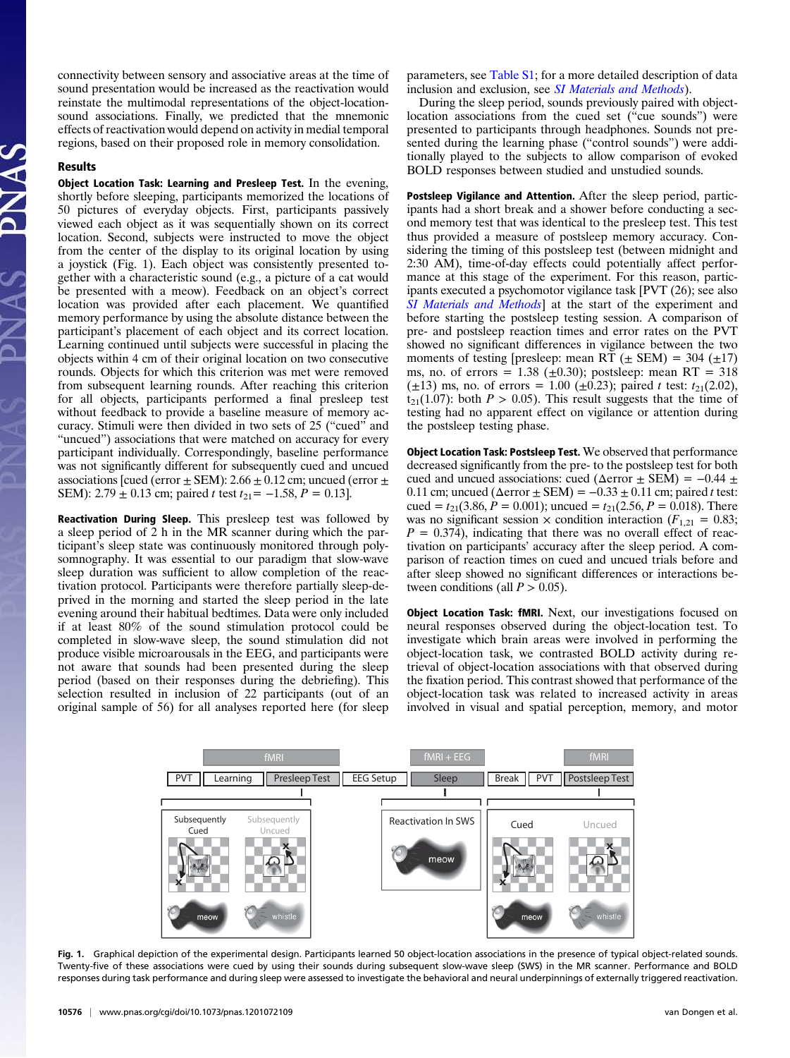connectivity between sensory and associative areas at the time of sound presentation would be increased as the reactivation would reinstate the multimodal representations of the object-locationsound associations. Finally, we predicted that the mnemonic effects of reactivation would depend on activity in medial temporal regions, based on their proposed role in memory consolidation.

## Results

Object Location Task: Learning and Presleep Test. In the evening, shortly before sleeping, participants memorized the locations of 50 pictures of everyday objects. First, participants passively viewed each object as it was sequentially shown on its correct location. Second, subjects were instructed to move the object from the center of the display to its original location by using a joystick (Fig. 1). Each object was consistently presented together with a characteristic sound (e.g., a picture of a cat would be presented with a meow). Feedback on an object's correct location was provided after each placement. We quantified memory performance by using the absolute distance between the participant's placement of each object and its correct location. Learning continued until subjects were successful in placing the objects within 4 cm of their original location on two consecutive rounds. Objects for which this criterion was met were removed from subsequent learning rounds. After reaching this criterion for all objects, participants performed a final presleep test without feedback to provide a baseline measure of memory accuracy. Stimuli were then divided in two sets of 25 ("cued" and "uncued") associations that were matched on accuracy for every participant individually. Correspondingly, baseline performance was not significantly different for subsequently cued and uncued associations [cued (error  $\pm$  SEM): 2.66  $\pm$  0.12 cm; uncued (error  $\pm$ SEM): 2.79  $\pm$  0.13 cm; paired t test  $t_{21}$  = -1.58, P = 0.13].

Reactivation During Sleep. This presleep test was followed by a sleep period of 2 h in the MR scanner during which the participant's sleep state was continuously monitored through polysomnography. It was essential to our paradigm that slow-wave sleep duration was sufficient to allow completion of the reactivation protocol. Participants were therefore partially sleep-deprived in the morning and started the sleep period in the late evening around their habitual bedtimes. Data were only included if at least 80% of the sound stimulation protocol could be completed in slow-wave sleep, the sound stimulation did not produce visible microarousals in the EEG, and participants were not aware that sounds had been presented during the sleep period (based on their responses during the debriefing). This selection resulted in inclusion of 22 participants (out of an original sample of 56) for all analyses reported here (for sleep

parameters, see [Table S1](http://www.pnas.org/lookup/suppl/doi:10.1073/pnas.1201072109/-/DCSupplemental/pnas.201201072SI.pdf?targetid=nameddest=ST1); for a more detailed description of data inclusion and exclusion, see [SI Materials and Methods](http://www.pnas.org/lookup/suppl/doi:10.1073/pnas.1201072109/-/DCSupplemental/pnas.201201072SI.pdf?targetid=nameddest=STXT)).

During the sleep period, sounds previously paired with objectlocation associations from the cued set ("cue sounds") were presented to participants through headphones. Sounds not presented during the learning phase ("control sounds") were additionally played to the subjects to allow comparison of evoked BOLD responses between studied and unstudied sounds.

Postsleep Vigilance and Attention. After the sleep period, participants had a short break and a shower before conducting a second memory test that was identical to the presleep test. This test thus provided a measure of postsleep memory accuracy. Considering the timing of this postsleep test (between midnight and 2:30 AM), time-of-day effects could potentially affect performance at this stage of the experiment. For this reason, participants executed a psychomotor vigilance task [PVT (26); see also [SI Materials and Methods](http://www.pnas.org/lookup/suppl/doi:10.1073/pnas.1201072109/-/DCSupplemental/pnas.201201072SI.pdf?targetid=nameddest=STXT)] at the start of the experiment and before starting the postsleep testing session. A comparison of pre- and postsleep reaction times and error rates on the PVT showed no significant differences in vigilance between the two moments of testing [presleep: mean RT  $(\pm$  SEM) = 304  $(\pm 17)$ ms, no. of errors =  $1.38 \ (\pm 0.30)$ ; postsleep: mean RT =  $318$ ( $\pm$ 13) ms, no. of errors = 1.00 ( $\pm$ 0.23); paired t test:  $t_{21}(2.02)$ ,  $t_{21}(1.07)$ : both  $P > 0.05$ ). This result suggests that the time of testing had no apparent effect on vigilance or attention during the postsleep testing phase.

Object Location Task: Postsleep Test. We observed that performance decreased significantly from the pre- to the postsleep test for both cued and uncued associations: cued ( $\Delta$ error  $\pm$  SEM) = -0.44  $\pm$ 0.11 cm; uncued ( $\triangle$ error  $\pm$  SEM) = -0.33  $\pm$  0.11 cm; paired t test: cued =  $t_{21}(3.86, P = 0.001)$ ; uncued =  $t_{21}(2.56, P = 0.018)$ . There was no significant session  $\times$  condition interaction ( $F_{1,21} = 0.83$ ;  $P = 0.374$ , indicating that there was no overall effect of reactivation on participants' accuracy after the sleep period. A comparison of reaction times on cued and uncued trials before and after sleep showed no significant differences or interactions between conditions (all  $P > 0.05$ ).

Object Location Task: fMRI. Next, our investigations focused on neural responses observed during the object-location test. To investigate which brain areas were involved in performing the object-location task, we contrasted BOLD activity during retrieval of object-location associations with that observed during the fixation period. This contrast showed that performance of the object-location task was related to increased activity in areas involved in visual and spatial perception, memory, and motor



Fig. 1. Graphical depiction of the experimental design. Participants learned 50 object-location associations in the presence of typical object-related sounds. Twenty-five of these associations were cued by using their sounds during subsequent slow-wave sleep (SWS) in the MR scanner. Performance and BOLD responses during task performance and during sleep were assessed to investigate the behavioral and neural underpinnings of externally triggered reactivation.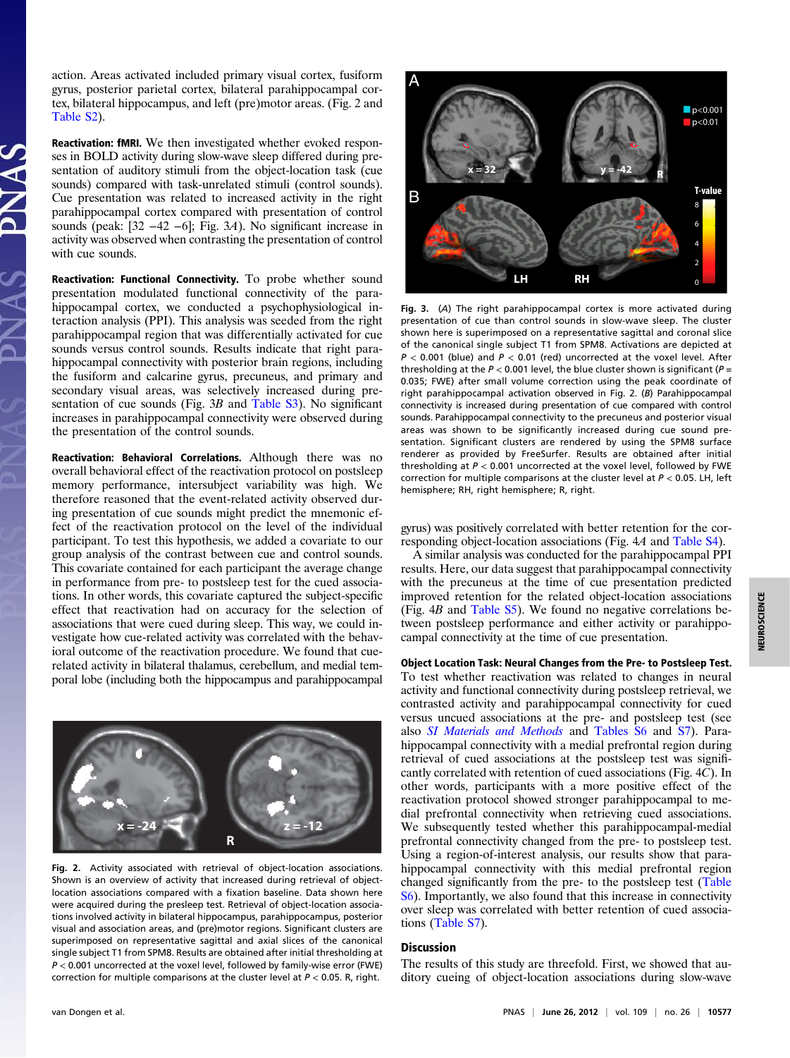action. Areas activated included primary visual cortex, fusiform gyrus, posterior parietal cortex, bilateral parahippocampal cortex, bilateral hippocampus, and left (pre)motor areas. (Fig. 2 and [Table S2](http://www.pnas.org/lookup/suppl/doi:10.1073/pnas.1201072109/-/DCSupplemental/pnas.201201072SI.pdf?targetid=nameddest=ST2)).

Reactivation: fMRI. We then investigated whether evoked responses in BOLD activity during slow-wave sleep differed during presentation of auditory stimuli from the object-location task (cue sounds) compared with task-unrelated stimuli (control sounds). Cue presentation was related to increased activity in the right parahippocampal cortex compared with presentation of control sounds (peak: [32 −42 −6]; Fig. 3A). No significant increase in activity was observed when contrasting the presentation of control with cue sounds.

Reactivation: Functional Connectivity. To probe whether sound presentation modulated functional connectivity of the parahippocampal cortex, we conducted a psychophysiological interaction analysis (PPI). This analysis was seeded from the right parahippocampal region that was differentially activated for cue sounds versus control sounds. Results indicate that right parahippocampal connectivity with posterior brain regions, including the fusiform and calcarine gyrus, precuneus, and primary and secondary visual areas, was selectively increased during presentation of cue sounds (Fig.  $3B$  and [Table S3\)](http://www.pnas.org/lookup/suppl/doi:10.1073/pnas.1201072109/-/DCSupplemental/pnas.201201072SI.pdf?targetid=nameddest=ST3). No significant increases in parahippocampal connectivity were observed during the presentation of the control sounds.

Reactivation: Behavioral Correlations. Although there was no overall behavioral effect of the reactivation protocol on postsleep memory performance, intersubject variability was high. We therefore reasoned that the event-related activity observed during presentation of cue sounds might predict the mnemonic effect of the reactivation protocol on the level of the individual participant. To test this hypothesis, we added a covariate to our group analysis of the contrast between cue and control sounds. This covariate contained for each participant the average change in performance from pre- to postsleep test for the cued associations. In other words, this covariate captured the subject-specific effect that reactivation had on accuracy for the selection of associations that were cued during sleep. This way, we could investigate how cue-related activity was correlated with the behavioral outcome of the reactivation procedure. We found that cuerelated activity in bilateral thalamus, cerebellum, and medial temporal lobe (including both the hippocampus and parahippocampal



Fig. 2. Activity associated with retrieval of object-location associations. Shown is an overview of activity that increased during retrieval of objectlocation associations compared with a fixation baseline. Data shown here were acquired during the presleep test. Retrieval of object-location associations involved activity in bilateral hippocampus, parahippocampus, posterior visual and association areas, and (pre)motor regions. Significant clusters are superimposed on representative sagittal and axial slices of the canonical single subject T1 from SPM8. Results are obtained after initial thresholding at  $P < 0.001$  uncorrected at the voxel level, followed by family-wise error (FWE) correction for multiple comparisons at the cluster level at  $P < 0.05$ . R, right.



Fig. 3. (A) The right parahippocampal cortex is more activated during presentation of cue than control sounds in slow-wave sleep. The cluster shown here is superimposed on a representative sagittal and coronal slice of the canonical single subject T1 from SPM8. Activations are depicted at  $P < 0.001$  (blue) and  $P < 0.01$  (red) uncorrected at the voxel level. After thresholding at the  $P < 0.001$  level, the blue cluster shown is significant ( $P =$ 0.035; FWE) after small volume correction using the peak coordinate of right parahippocampal activation observed in Fig. 2. (B) Parahippocampal connectivity is increased during presentation of cue compared with control sounds. Parahippocampal connectivity to the precuneus and posterior visual areas was shown to be significantly increased during cue sound presentation. Significant clusters are rendered by using the SPM8 surface renderer as provided by FreeSurfer. Results are obtained after initial thresholding at  $P < 0.001$  uncorrected at the voxel level, followed by FWE correction for multiple comparisons at the cluster level at  $P < 0.05$ . LH, left hemisphere; RH, right hemisphere; R, right.

gyrus) was positively correlated with better retention for the corresponding object-location associations (Fig. 4A and [Table S4](http://www.pnas.org/lookup/suppl/doi:10.1073/pnas.1201072109/-/DCSupplemental/pnas.201201072SI.pdf?targetid=nameddest=ST4)).

A similar analysis was conducted for the parahippocampal PPI results. Here, our data suggest that parahippocampal connectivity with the precuneus at the time of cue presentation predicted improved retention for the related object-location associations (Fig. 4B and [Table S5](http://www.pnas.org/lookup/suppl/doi:10.1073/pnas.1201072109/-/DCSupplemental/pnas.201201072SI.pdf?targetid=nameddest=ST5)). We found no negative correlations between postsleep performance and either activity or parahippocampal connectivity at the time of cue presentation.

Object Location Task: Neural Changes from the Pre- to Postsleep Test. To test whether reactivation was related to changes in neural activity and functional connectivity during postsleep retrieval, we contrasted activity and parahippocampal connectivity for cued versus uncued associations at the pre- and postsleep test (see also [SI Materials and Methods](http://www.pnas.org/lookup/suppl/doi:10.1073/pnas.1201072109/-/DCSupplemental/pnas.201201072SI.pdf?targetid=nameddest=STXT) and [Tables S6](http://www.pnas.org/lookup/suppl/doi:10.1073/pnas.1201072109/-/DCSupplemental/pnas.201201072SI.pdf?targetid=nameddest=ST6) and [S7\)](http://www.pnas.org/lookup/suppl/doi:10.1073/pnas.1201072109/-/DCSupplemental/pnas.201201072SI.pdf?targetid=nameddest=ST7). Parahippocampal connectivity with a medial prefrontal region during retrieval of cued associations at the postsleep test was significantly correlated with retention of cued associations (Fig. 4C). In other words, participants with a more positive effect of the reactivation protocol showed stronger parahippocampal to medial prefrontal connectivity when retrieving cued associations. We subsequently tested whether this parahippocampal-medial prefrontal connectivity changed from the pre- to postsleep test. Using a region-of-interest analysis, our results show that parahippocampal connectivity with this medial prefrontal region changed significantly from the pre- to the postsleep test [\(Table](http://www.pnas.org/lookup/suppl/doi:10.1073/pnas.1201072109/-/DCSupplemental/pnas.201201072SI.pdf?targetid=nameddest=ST6) [S6](http://www.pnas.org/lookup/suppl/doi:10.1073/pnas.1201072109/-/DCSupplemental/pnas.201201072SI.pdf?targetid=nameddest=ST6)). Importantly, we also found that this increase in connectivity over sleep was correlated with better retention of cued associations ([Table S7\)](http://www.pnas.org/lookup/suppl/doi:10.1073/pnas.1201072109/-/DCSupplemental/pnas.201201072SI.pdf?targetid=nameddest=ST7).

## Discussion

The results of this study are threefold. First, we showed that auditory cueing of object-location associations during slow-wave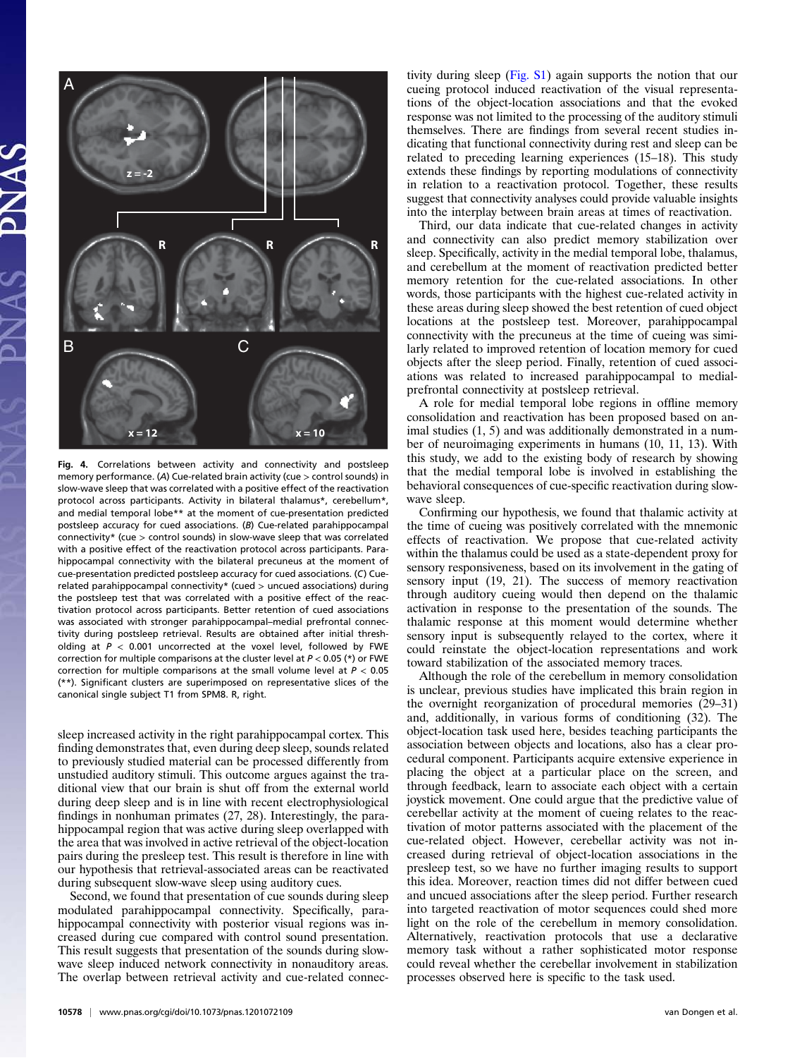

Fig. 4. Correlations between activity and connectivity and postsleep memory performance. (A) Cue-related brain activity (cue > control sounds) in slow-wave sleep that was correlated with a positive effect of the reactivation protocol across participants. Activity in bilateral thalamus\*, cerebellum\*, and medial temporal lobe\*\* at the moment of cue-presentation predicted postsleep accuracy for cued associations. (B) Cue-related parahippocampal connectivity\* (cue > control sounds) in slow-wave sleep that was correlated with a positive effect of the reactivation protocol across participants. Parahippocampal connectivity with the bilateral precuneus at the moment of cue-presentation predicted postsleep accuracy for cued associations. (C) Cuerelated parahippocampal connectivity\* (cued > uncued associations) during the postsleep test that was correlated with a positive effect of the reactivation protocol across participants. Better retention of cued associations was associated with stronger parahippocampal–medial prefrontal connectivity during postsleep retrieval. Results are obtained after initial thresholding at  $P < 0.001$  uncorrected at the voxel level, followed by FWE correction for multiple comparisons at the cluster level at  $P < 0.05$  (\*) or FWE correction for multiple comparisons at the small volume level at  $P < 0.05$ (\*\*). Significant clusters are superimposed on representative slices of the canonical single subject T1 from SPM8. R, right.

sleep increased activity in the right parahippocampal cortex. This finding demonstrates that, even during deep sleep, sounds related to previously studied material can be processed differently from unstudied auditory stimuli. This outcome argues against the traditional view that our brain is shut off from the external world during deep sleep and is in line with recent electrophysiological findings in nonhuman primates (27, 28). Interestingly, the parahippocampal region that was active during sleep overlapped with the area that was involved in active retrieval of the object-location pairs during the presleep test. This result is therefore in line with our hypothesis that retrieval-associated areas can be reactivated during subsequent slow-wave sleep using auditory cues.

Second, we found that presentation of cue sounds during sleep modulated parahippocampal connectivity. Specifically, parahippocampal connectivity with posterior visual regions was increased during cue compared with control sound presentation. This result suggests that presentation of the sounds during slowwave sleep induced network connectivity in nonauditory areas. The overlap between retrieval activity and cue-related connectivity during sleep ([Fig. S1\)](http://www.pnas.org/lookup/suppl/doi:10.1073/pnas.1201072109/-/DCSupplemental/pnas.201201072SI.pdf?targetid=nameddest=SF1) again supports the notion that our cueing protocol induced reactivation of the visual representations of the object-location associations and that the evoked response was not limited to the processing of the auditory stimuli themselves. There are findings from several recent studies indicating that functional connectivity during rest and sleep can be related to preceding learning experiences (15–18). This study extends these findings by reporting modulations of connectivity in relation to a reactivation protocol. Together, these results suggest that connectivity analyses could provide valuable insights into the interplay between brain areas at times of reactivation.

Third, our data indicate that cue-related changes in activity and connectivity can also predict memory stabilization over sleep. Specifically, activity in the medial temporal lobe, thalamus, and cerebellum at the moment of reactivation predicted better memory retention for the cue-related associations. In other words, those participants with the highest cue-related activity in these areas during sleep showed the best retention of cued object locations at the postsleep test. Moreover, parahippocampal connectivity with the precuneus at the time of cueing was similarly related to improved retention of location memory for cued objects after the sleep period. Finally, retention of cued associations was related to increased parahippocampal to medialprefrontal connectivity at postsleep retrieval.

A role for medial temporal lobe regions in offline memory consolidation and reactivation has been proposed based on animal studies (1, 5) and was additionally demonstrated in a number of neuroimaging experiments in humans (10, 11, 13). With this study, we add to the existing body of research by showing that the medial temporal lobe is involved in establishing the behavioral consequences of cue-specific reactivation during slowwave sleep.

Confirming our hypothesis, we found that thalamic activity at the time of cueing was positively correlated with the mnemonic effects of reactivation. We propose that cue-related activity within the thalamus could be used as a state-dependent proxy for sensory responsiveness, based on its involvement in the gating of sensory input (19, 21). The success of memory reactivation through auditory cueing would then depend on the thalamic activation in response to the presentation of the sounds. The thalamic response at this moment would determine whether sensory input is subsequently relayed to the cortex, where it could reinstate the object-location representations and work toward stabilization of the associated memory traces.

Although the role of the cerebellum in memory consolidation is unclear, previous studies have implicated this brain region in the overnight reorganization of procedural memories (29–31) and, additionally, in various forms of conditioning (32). The object-location task used here, besides teaching participants the association between objects and locations, also has a clear procedural component. Participants acquire extensive experience in placing the object at a particular place on the screen, and through feedback, learn to associate each object with a certain joystick movement. One could argue that the predictive value of cerebellar activity at the moment of cueing relates to the reactivation of motor patterns associated with the placement of the cue-related object. However, cerebellar activity was not increased during retrieval of object-location associations in the presleep test, so we have no further imaging results to support this idea. Moreover, reaction times did not differ between cued and uncued associations after the sleep period. Further research into targeted reactivation of motor sequences could shed more light on the role of the cerebellum in memory consolidation. Alternatively, reactivation protocols that use a declarative memory task without a rather sophisticated motor response could reveal whether the cerebellar involvement in stabilization processes observed here is specific to the task used.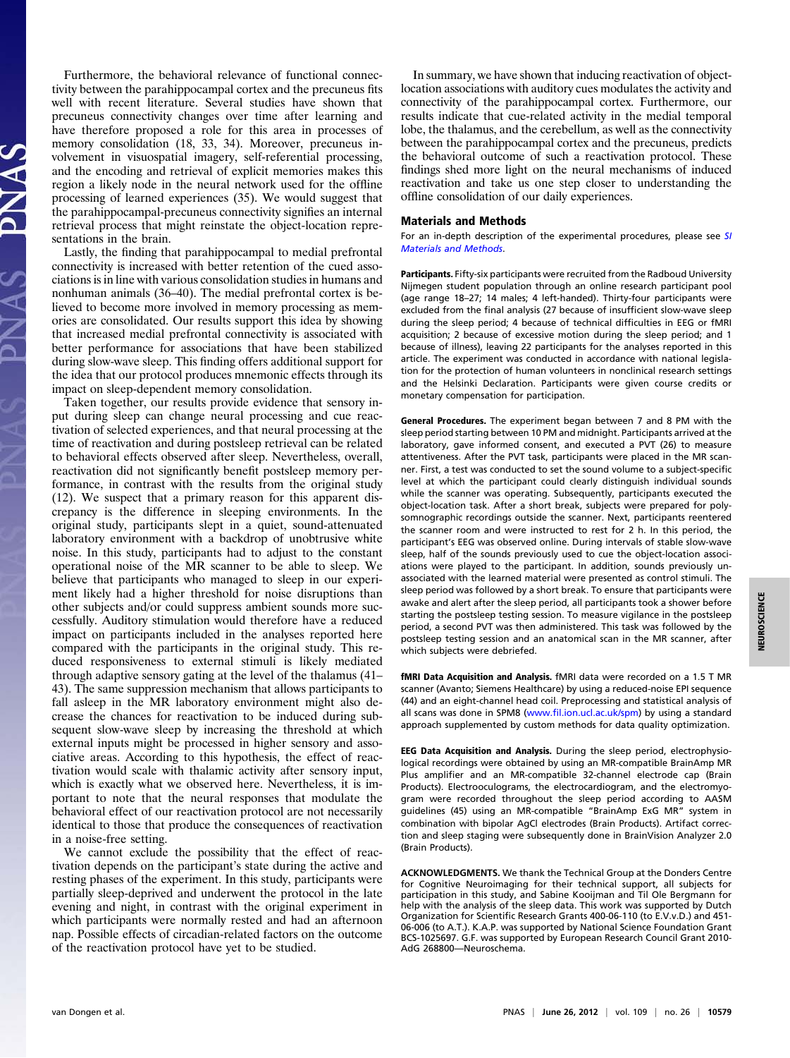Furthermore, the behavioral relevance of functional connectivity between the parahippocampal cortex and the precuneus fits well with recent literature. Several studies have shown that precuneus connectivity changes over time after learning and have therefore proposed a role for this area in processes of memory consolidation (18, 33, 34). Moreover, precuneus involvement in visuospatial imagery, self-referential processing, and the encoding and retrieval of explicit memories makes this region a likely node in the neural network used for the offline processing of learned experiences (35). We would suggest that the parahippocampal-precuneus connectivity signifies an internal retrieval process that might reinstate the object-location representations in the brain.

Lastly, the finding that parahippocampal to medial prefrontal connectivity is increased with better retention of the cued associations is in line with various consolidation studies in humans and nonhuman animals (36–40). The medial prefrontal cortex is believed to become more involved in memory processing as memories are consolidated. Our results support this idea by showing that increased medial prefrontal connectivity is associated with better performance for associations that have been stabilized during slow-wave sleep. This finding offers additional support for the idea that our protocol produces mnemonic effects through its impact on sleep-dependent memory consolidation.

Taken together, our results provide evidence that sensory input during sleep can change neural processing and cue reactivation of selected experiences, and that neural processing at the time of reactivation and during postsleep retrieval can be related to behavioral effects observed after sleep. Nevertheless, overall, reactivation did not significantly benefit postsleep memory performance, in contrast with the results from the original study (12). We suspect that a primary reason for this apparent discrepancy is the difference in sleeping environments. In the original study, participants slept in a quiet, sound-attenuated laboratory environment with a backdrop of unobtrusive white noise. In this study, participants had to adjust to the constant operational noise of the MR scanner to be able to sleep. We believe that participants who managed to sleep in our experiment likely had a higher threshold for noise disruptions than other subjects and/or could suppress ambient sounds more successfully. Auditory stimulation would therefore have a reduced impact on participants included in the analyses reported here compared with the participants in the original study. This reduced responsiveness to external stimuli is likely mediated through adaptive sensory gating at the level of the thalamus (41– 43). The same suppression mechanism that allows participants to fall asleep in the MR laboratory environment might also decrease the chances for reactivation to be induced during subsequent slow-wave sleep by increasing the threshold at which external inputs might be processed in higher sensory and associative areas. According to this hypothesis, the effect of reactivation would scale with thalamic activity after sensory input, which is exactly what we observed here. Nevertheless, it is important to note that the neural responses that modulate the behavioral effect of our reactivation protocol are not necessarily identical to those that produce the consequences of reactivation in a noise-free setting.

We cannot exclude the possibility that the effect of reactivation depends on the participant's state during the active and resting phases of the experiment. In this study, participants were partially sleep-deprived and underwent the protocol in the late evening and night, in contrast with the original experiment in which participants were normally rested and had an afternoon nap. Possible effects of circadian-related factors on the outcome of the reactivation protocol have yet to be studied.

In summary, we have shown that inducing reactivation of objectlocation associations with auditory cues modulates the activity and connectivity of the parahippocampal cortex. Furthermore, our results indicate that cue-related activity in the medial temporal lobe, the thalamus, and the cerebellum, as well as the connectivity between the parahippocampal cortex and the precuneus, predicts the behavioral outcome of such a reactivation protocol. These findings shed more light on the neural mechanisms of induced reactivation and take us one step closer to understanding the offline consolidation of our daily experiences.

## Materials and Methods

For an in-depth description of the experimental procedures, please see [SI](http://www.pnas.org/lookup/suppl/doi:10.1073/pnas.1201072109/-/DCSupplemental/pnas.201201072SI.pdf?targetid=nameddest=STXT) [Materials and Methods](http://www.pnas.org/lookup/suppl/doi:10.1073/pnas.1201072109/-/DCSupplemental/pnas.201201072SI.pdf?targetid=nameddest=STXT).

Participants. Fifty-six participants were recruited from the Radboud University Nijmegen student population through an online research participant pool (age range 18–27; 14 males; 4 left-handed). Thirty-four participants were excluded from the final analysis (27 because of insufficient slow-wave sleep during the sleep period; 4 because of technical difficulties in EEG or fMRI acquisition; 2 because of excessive motion during the sleep period; and 1 because of illness), leaving 22 participants for the analyses reported in this article. The experiment was conducted in accordance with national legislation for the protection of human volunteers in nonclinical research settings and the Helsinki Declaration. Participants were given course credits or monetary compensation for participation.

General Procedures. The experiment began between 7 and 8 PM with the sleep period starting between 10 PM and midnight. Participants arrived at the laboratory, gave informed consent, and executed a PVT (26) to measure attentiveness. After the PVT task, participants were placed in the MR scanner. First, a test was conducted to set the sound volume to a subject-specific level at which the participant could clearly distinguish individual sounds while the scanner was operating. Subsequently, participants executed the object-location task. After a short break, subjects were prepared for polysomnographic recordings outside the scanner. Next, participants reentered the scanner room and were instructed to rest for 2 h. In this period, the participant's EEG was observed online. During intervals of stable slow-wave sleep, half of the sounds previously used to cue the object-location associations were played to the participant. In addition, sounds previously unassociated with the learned material were presented as control stimuli. The sleep period was followed by a short break. To ensure that participants were awake and alert after the sleep period, all participants took a shower before starting the postsleep testing session. To measure vigilance in the postsleep period, a second PVT was then administered. This task was followed by the postsleep testing session and an anatomical scan in the MR scanner, after which subjects were debriefed.

fMRI Data Acquisition and Analysis. fMRI data were recorded on a 1.5 T MR scanner (Avanto; Siemens Healthcare) by using a reduced-noise EPI sequence (44) and an eight-channel head coil. Preprocessing and statistical analysis of all scans was done in SPM8 (www.fi[l.ion.ucl.ac.uk/spm\)](http://www.fil.ion.ucl.ac.uk/spm) by using a standard approach supplemented by custom methods for data quality optimization.

EEG Data Acquisition and Analysis. During the sleep period, electrophysiological recordings were obtained by using an MR-compatible BrainAmp MR Plus amplifier and an MR-compatible 32-channel electrode cap (Brain Products). Electrooculograms, the electrocardiogram, and the electromyogram were recorded throughout the sleep period according to AASM guidelines (45) using an MR-compatible "BrainAmp ExG MR" system in combination with bipolar AgCl electrodes (Brain Products). Artifact correction and sleep staging were subsequently done in BrainVision Analyzer 2.0 (Brain Products).

ACKNOWLEDGMENTS. We thank the Technical Group at the Donders Centre for Cognitive Neuroimaging for their technical support, all subjects for participation in this study, and Sabine Kooijman and Til Ole Bergmann for help with the analysis of the sleep data. This work was supported by Dutch Organization for Scientific Research Grants 400-06-110 (to E.V.v.D.) and 451- 06-006 (to A.T.). K.A.P. was supported by National Science Foundation Grant BCS-1025697. G.F. was supported by European Research Council Grant 2010- AdG 268800—Neuroschema.